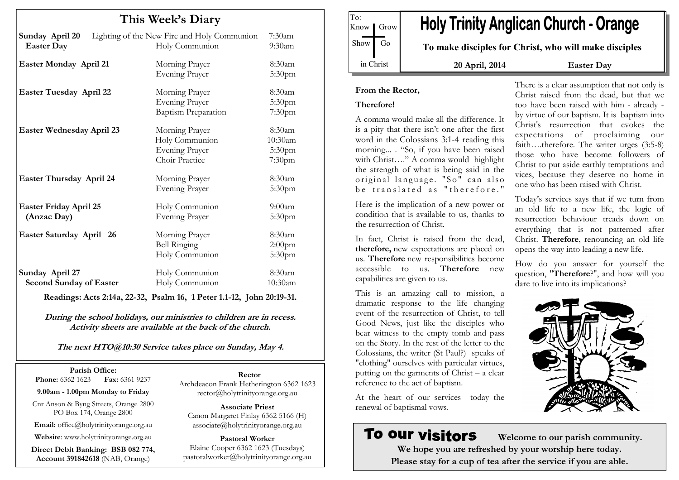| This Week's Diary                                 |                                                                             |                                                    |
|---------------------------------------------------|-----------------------------------------------------------------------------|----------------------------------------------------|
| Sunday April 20<br><b>Easter Day</b>              | Lighting of the New Fire and Holy Communion<br>Holy Communion               | $7:30$ am<br>9:30am                                |
| Easter Monday April 21                            | Morning Prayer<br><b>Evening Prayer</b>                                     | 8:30am<br>5:30 <sub>pm</sub>                       |
| <b>Easter Tuesday April 22</b>                    | Morning Prayer<br><b>Evening Prayer</b><br><b>Baptism Preparation</b>       | $8:30$ am<br>5:30pm<br>7:30pm                      |
| <b>Easter Wednesday April 23</b>                  | Morning Prayer<br>Holy Communion<br><b>Evening Prayer</b><br>Choir Practice | 8:30am<br>10:30am<br>5:30pm<br>7:30pm              |
| Easter Thursday April 24                          | Morning Prayer<br><b>Evening Prayer</b>                                     | 8:30am<br>5:30 <sub>pm</sub>                       |
| <b>Easter Friday April 25</b><br>(Anzac Day)      | Holy Communion<br><b>Evening Prayer</b>                                     | $9:00$ am<br>5:30pm                                |
| Easter Saturday April 26                          | Morning Prayer<br><b>Bell Ringing</b><br>Holy Communion                     | 8:30am<br>2:00 <sub>pm</sub><br>5:30 <sub>pm</sub> |
| Sunday April 27<br><b>Second Sunday of Easter</b> | Holy Communion<br>Holy Communion                                            | 8:30am<br>10:30am                                  |

Readings: Acts 2:14a, 22-32, Psalm 16, 1 Peter 1.1-12, John 20:19-31.

During the school holidays, our ministries to children are in recess. Activity sheets are available at the back of the church.

The next HTO@10:30 Service takes place on Sunday, May 4.

Parish Office: **Phone:** 6362 1623 **Fax:** 6361 9237

9.00am - 1.00pm Monday to Friday

Cnr Anson & Byng Streets, Orange 2800 PO Box 174, Orange 2800

Email: office@holytrinityorange.org.au

Website: www.holytrinityorange.org.au

Direct Debit Banking: BSB 082 774, Account 391842618 (NAB, Orange)

Rector

 Archdeacon Frank Hetherington 6362 1623 rector@holytrinityorange.org.au

Associate Priest Canon Margaret Finlay 6362 5166 (H) associate@holytrinityorange.org.au

Pastoral Worker Elaine Cooper 6362 1623 (Tuesdays) pastoralworker@holytrinityorange.org.au

**Holy Trinity Anglican Church - Orange** Know *I* Grow Show Go To make disciples for Christ, who will make disciples in Christ 20 April, 2014 Easter Day

#### From the Rector,

## Therefore!

To:

A comma would make all the difference. It is a pity that there isn't one after the first word in the Colossians 3:1-4 reading this morning... . "So, if you have been raised with Christ…." A comma would highlight the strength of what is being said in the original language. "So" can also  $be$  translated as "therefore."

Here is the implication of a new power or condition that is available to us, thanks to the resurrection of Christ.

In fact, Christ is raised from the dead, therefore, new expectations are placed on us. Therefore new responsibilities become accessible to us. Therefore new capabilities are given to us.

This is an amazing call to mission, a dramatic response to the life changing event of the resurrection of Christ, to tell Good News, just like the disciples who bear witness to the empty tomb and pass on the Story. In the rest of the letter to the Colossians, the writer (St Paul?) speaks of "clothing" ourselves with particular virtues, putting on the garments of Christ – a clear reference to the act of baptism.

At the heart of our services today the renewal of baptismal vows.

# To our visitors

 Welcome to our parish community. We hope you are refreshed by your worship here today. Please stay for a cup of tea after the service if you are able.

There is a clear assumption that not only is Christ raised from the dead, but that we too have been raised with him - already by virtue of our baptism. It is baptism into Christ's resurrection that evokes the expectations of proclaiming our faith….therefore. The writer urges (3:5-8) those who have become followers of Christ to put aside earthly temptations and vices, because they deserve no home in one who has been raised with Christ.

Today's services says that if we turn from an old life to a new life, the logic of resurrection behaviour treads down on everything that is not patterned after Christ. Therefore, renouncing an old life opens the way into leading a new life.

How do you answer for yourself the question, "Therefore?", and how will you dare to live into its implications?